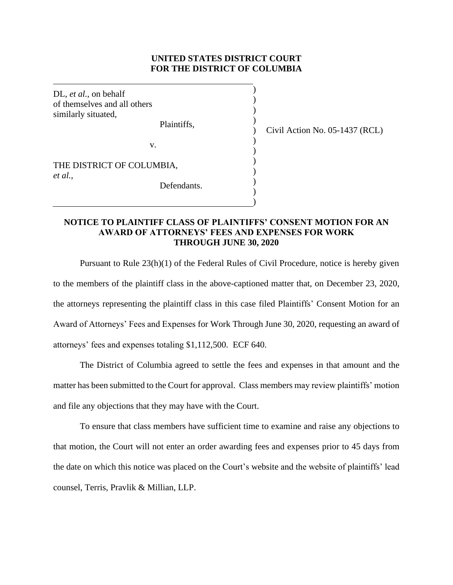## **UNITED STATES DISTRICT COURT FOR THE DISTRICT OF COLUMBIA**

) ) ) )  $\lambda$ )  $\lambda$ ) ) ) ) )

DL, *et al.*, on behalf of themselves and all others similarly situated,

Plaintiffs,

Civil Action No. 05-1437 (RCL)

v.

THE DISTRICT OF COLUMBIA, *et al.*,

Defendants.

## **NOTICE TO PLAINTIFF CLASS OF PLAINTIFFS' CONSENT MOTION FOR AN AWARD OF ATTORNEYS' FEES AND EXPENSES FOR WORK THROUGH JUNE 30, 2020**

Pursuant to Rule 23(h)(1) of the Federal Rules of Civil Procedure, notice is hereby given to the members of the plaintiff class in the above-captioned matter that, on December 23, 2020, the attorneys representing the plaintiff class in this case filed Plaintiffs' Consent Motion for an Award of Attorneys' Fees and Expenses for Work Through June 30, 2020, requesting an award of attorneys' fees and expenses totaling \$1,112,500. ECF 640.

The District of Columbia agreed to settle the fees and expenses in that amount and the matter has been submitted to the Court for approval. Class members may review plaintiffs' motion and file any objections that they may have with the Court.

To ensure that class members have sufficient time to examine and raise any objections to that motion, the Court will not enter an order awarding fees and expenses prior to 45 days from the date on which this notice was placed on the Court's website and the website of plaintiffs' lead counsel, Terris, Pravlik & Millian, LLP.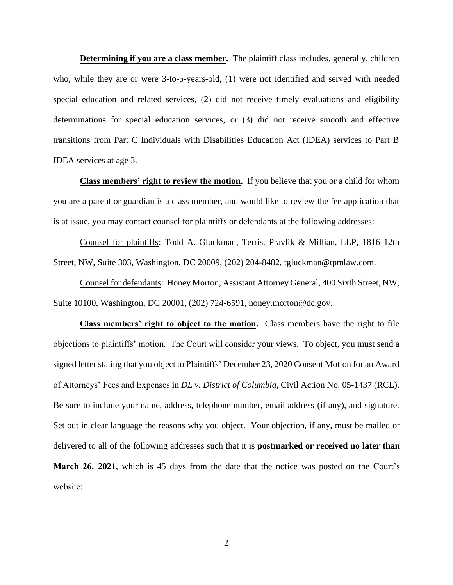**Determining if you are a class member.** The plaintiff class includes, generally, children who, while they are or were 3-to-5-years-old, (1) were not identified and served with needed special education and related services, (2) did not receive timely evaluations and eligibility determinations for special education services, or (3) did not receive smooth and effective transitions from Part C Individuals with Disabilities Education Act (IDEA) services to Part B IDEA services at age 3.

**Class members' right to review the motion.** If you believe that you or a child for whom you are a parent or guardian is a class member, and would like to review the fee application that is at issue, you may contact counsel for plaintiffs or defendants at the following addresses:

Counsel for plaintiffs: Todd A. Gluckman, Terris, Pravlik & Millian, LLP, 1816 12th Street, NW, Suite 303, Washington, DC 20009, (202) 204-8482, tgluckman@tpmlaw.com.

Counsel for defendants: Honey Morton, Assistant Attorney General, 400 Sixth Street, NW, Suite 10100, Washington, DC 20001, (202) 724-6591, honey.morton@dc.gov.

**Class members' right to object to the motion.** Class members have the right to file objections to plaintiffs' motion. The Court will consider your views. To object, you must send a signed letter stating that you object to Plaintiffs' December 23, 2020 Consent Motion for an Award of Attorneys' Fees and Expenses in *DL v. District of Columbia*, Civil Action No. 05-1437 (RCL). Be sure to include your name, address, telephone number, email address (if any), and signature. Set out in clear language the reasons why you object. Your objection, if any, must be mailed or delivered to all of the following addresses such that it is **postmarked or received no later than March 26, 2021**, which is 45 days from the date that the notice was posted on the Court's website: